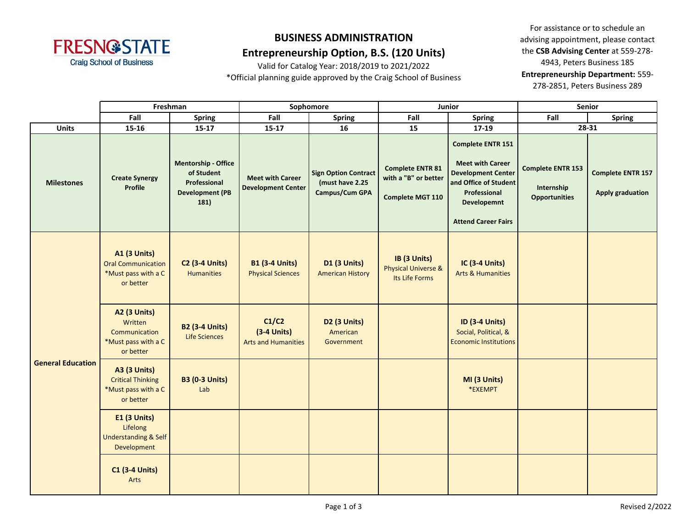

### **Entrepreneurship Option, B.S. (120 Units)**

Valid for Catalog Year: 2018/2019 to 2021/2022 \*Official planning guide approved by the Craig School of Business

|                          | Freshman                                                                             |                                                                                            |                                                      | Sophomore                                                        |                                                                     | Junior                                                                                                                                                                 | <b>Senior</b>                                                  |                                                     |  |
|--------------------------|--------------------------------------------------------------------------------------|--------------------------------------------------------------------------------------------|------------------------------------------------------|------------------------------------------------------------------|---------------------------------------------------------------------|------------------------------------------------------------------------------------------------------------------------------------------------------------------------|----------------------------------------------------------------|-----------------------------------------------------|--|
|                          | Fall                                                                                 | <b>Spring</b>                                                                              | Fall                                                 | <b>Spring</b>                                                    | Fall                                                                | <b>Spring</b>                                                                                                                                                          | Fall                                                           | <b>Spring</b>                                       |  |
| <b>Units</b>             | 15-16                                                                                | $15 - 17$                                                                                  | $15 - 17$                                            | 16                                                               | 15                                                                  | 17-19                                                                                                                                                                  |                                                                | 28-31                                               |  |
| <b>Milestones</b>        | <b>Create Synergy</b><br><b>Profile</b>                                              | <b>Mentorship - Office</b><br>of Student<br>Professional<br><b>Development (PB</b><br>181) | <b>Meet with Career</b><br><b>Development Center</b> | <b>Sign Option Contract</b><br>(must have 2.25<br>Campus/Cum GPA | <b>Complete ENTR 81</b><br>with a "B" or better<br>Complete MGT 110 | <b>Complete ENTR 151</b><br><b>Meet with Career</b><br><b>Development Center</b><br>and Office of Student<br>Professional<br>Developemnt<br><b>Attend Career Fairs</b> | <b>Complete ENTR 153</b><br>Internship<br><b>Opportunities</b> | <b>Complete ENTR 157</b><br><b>Apply graduation</b> |  |
| <b>General Education</b> | <b>A1 (3 Units)</b><br><b>Oral Communication</b><br>*Must pass with a C<br>or better | <b>C2 (3-4 Units)</b><br><b>Humanities</b>                                                 | <b>B1 (3-4 Units)</b><br><b>Physical Sciences</b>    | <b>D1 (3 Units)</b><br><b>American History</b>                   | IB (3 Units)<br><b>Physical Universe &amp;</b><br>Its Life Forms    | <b>IC (3-4 Units)</b><br><b>Arts &amp; Humanities</b>                                                                                                                  |                                                                |                                                     |  |
|                          | <b>A2 (3 Units)</b><br>Written<br>Communication<br>*Must pass with a C<br>or better  | <b>B2 (3-4 Units)</b><br>Life Sciences                                                     | C1/C2<br>$(3-4$ Units)<br><b>Arts and Humanities</b> | D2 (3 Units)<br>American<br>Government                           |                                                                     | <b>ID (3-4 Units)</b><br>Social, Political, &<br><b>Economic Institutions</b>                                                                                          |                                                                |                                                     |  |
|                          | <b>A3 (3 Units)</b><br><b>Critical Thinking</b><br>*Must pass with a C<br>or better  | <b>B3 (0-3 Units)</b><br>Lab                                                               |                                                      |                                                                  |                                                                     | MI (3 Units)<br>*EXEMPT                                                                                                                                                |                                                                |                                                     |  |
|                          | <b>E1 (3 Units)</b><br>Lifelong<br><b>Understanding &amp; Self</b><br>Development    |                                                                                            |                                                      |                                                                  |                                                                     |                                                                                                                                                                        |                                                                |                                                     |  |
|                          | <b>C1 (3-4 Units)</b><br>Arts                                                        |                                                                                            |                                                      |                                                                  |                                                                     |                                                                                                                                                                        |                                                                |                                                     |  |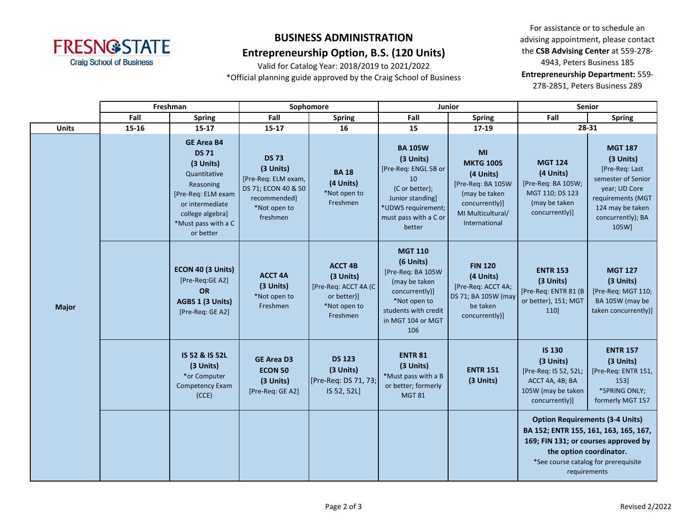

### **Entrepreneurship Option, B.S. (120 Units)**

Valid for Catalog Year: 2018/2019 to 2021/2022 \*Official planning guide approved by the Craig School of Business

|              | Freshman |                                                                                                                                                                              | Sophomore                                                                                                           |                                                                                                | Junior                                                                                                                                                   |                                                                                                                                   | <b>Senior</b>                                                                                                                                                                                              |                                                                                                                                                             |  |
|--------------|----------|------------------------------------------------------------------------------------------------------------------------------------------------------------------------------|---------------------------------------------------------------------------------------------------------------------|------------------------------------------------------------------------------------------------|----------------------------------------------------------------------------------------------------------------------------------------------------------|-----------------------------------------------------------------------------------------------------------------------------------|------------------------------------------------------------------------------------------------------------------------------------------------------------------------------------------------------------|-------------------------------------------------------------------------------------------------------------------------------------------------------------|--|
|              | Fall     | <b>Spring</b>                                                                                                                                                                | Fall                                                                                                                | <b>Spring</b>                                                                                  | Fall                                                                                                                                                     | <b>Spring</b>                                                                                                                     | Fall                                                                                                                                                                                                       | <b>Spring</b>                                                                                                                                               |  |
| <b>Units</b> | 15-16    | $15 - 17$                                                                                                                                                                    | $15 - 17$                                                                                                           | 16                                                                                             | 15                                                                                                                                                       | 17-19                                                                                                                             | 28-31                                                                                                                                                                                                      |                                                                                                                                                             |  |
| <b>Major</b> |          | <b>GE Area B4</b><br><b>DS 71</b><br>(3 Units)<br>Quantitative<br>Reasoning<br>[Pre-Req: ELM exam<br>or intermediate<br>college algebra]<br>*Must pass with a C<br>or better | <b>DS 73</b><br>(3 Units)<br>[Pre-Req: ELM exam,<br>DS 71; ECON 40 & 50<br>recommended]<br>*Not open to<br>freshmen | <b>BA 18</b><br>(4 Units)<br>*Not open to<br>Freshmen                                          | <b>BA 105W</b><br>(3 Units)<br>[Pre-Req: ENGL 5B or<br>10<br>(C or better);<br>Junior standing]<br>*UDWS requirement;<br>must pass with a C or<br>better | MI<br><b>MKTG 100S</b><br>(4 Units)<br>[Pre-Req: BA 105W<br>(may be taken<br>concurrently)]<br>MI Multicultural/<br>International | <b>MGT 124</b><br>(4 Units)<br>[Pre-Req: BA 105W;<br>MGT 110; DS 123<br>(may be taken<br>concurrently)]                                                                                                    | <b>MGT 187</b><br>(3 Units)<br>[Pre-Req: Last<br>semester of Senior<br>year; UD Core<br>requirements (MGT<br>124 may be taken<br>concurrently); BA<br>105W] |  |
|              |          | ECON 40 (3 Units)<br>[Pre-Reg:GE A2]<br><b>OR</b><br>AGBS 1 (3 Units)<br>[Pre-Req: GE A2]                                                                                    | <b>ACCT 4A</b><br>(3 Units)<br>*Not open to<br>Freshmen                                                             | <b>ACCT 4B</b><br>(3 Units)<br>[Pre-Req: ACCT 4A (C<br>or better)]<br>*Not open to<br>Freshmen | <b>MGT 110</b><br>(6 Units)<br>[Pre-Req: BA 105W<br>(may be taken<br>concurrently)]<br>*Not open to<br>students with credit<br>in MGT 104 or MGT<br>106  | <b>FIN 120</b><br>(4 Units)<br>[Pre-Req: ACCT 4A;<br>DS 71; BA 105W (may<br>be taken<br>concurrently)]                            | <b>ENTR 153</b><br>(3 Units)<br>[Pre-Req: ENTR 81 (B<br>or better), 151; MGT<br>110]                                                                                                                       | <b>MGT 127</b><br>(3 Units)<br>[Pre-Req: MGT 110;<br>BA 105W (may be<br>taken concurrently)]                                                                |  |
|              |          | IS 52 & IS 52L<br>(3 Units)<br>*or Computer<br>Competency Exam<br>(CCE)                                                                                                      | <b>GE Area D3</b><br><b>ECON 50</b><br>(3 Units)<br>[Pre-Req: GE A2]                                                | <b>DS 123</b><br>(3 Units)<br>[Pre-Req: DS 71, 73;<br>IS 52, 52L]                              | <b>ENTR 81</b><br>(3 Units)<br>*Must pass with a B<br>or better; formerly<br><b>MGT 81</b>                                                               | <b>ENTR 151</b><br>(3 Units)                                                                                                      | <b>IS 130</b><br>(3 Units)<br>[Pre-Req: IS 52, 52L;<br>ACCT 4A, 4B; BA<br>105W (may be taken<br>concurrently)]                                                                                             | <b>ENTR 157</b><br>(3 Units)<br>[Pre-Req: ENTR 151,<br>153]<br>*SPRING ONLY;<br>formerly MGT 157                                                            |  |
|              |          |                                                                                                                                                                              |                                                                                                                     |                                                                                                |                                                                                                                                                          |                                                                                                                                   | <b>Option Requirements (3-4 Units)</b><br>BA 152; ENTR 155, 161, 163, 165, 167,<br>169; FIN 131; or courses approved by<br>the option coordinator.<br>*See course catalog for prerequisite<br>requirements |                                                                                                                                                             |  |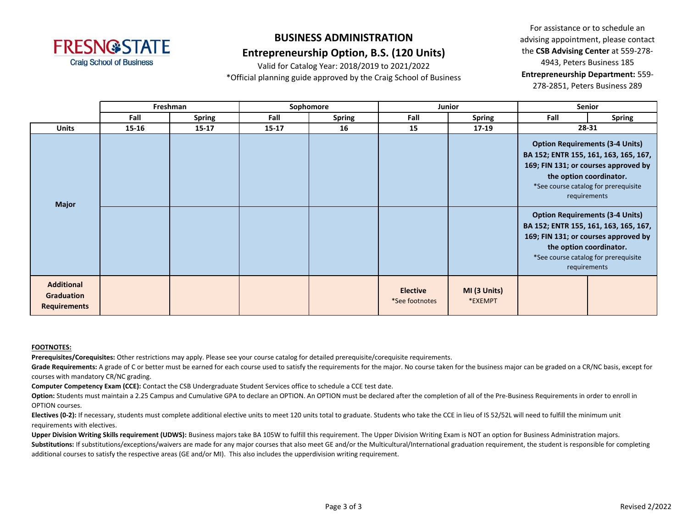

### **Entrepreneurship Option, B.S. (120 Units)**

Valid for Catalog Year: 2018/2019 to 2021/2022 \*Official planning guide approved by the Craig School of Business

For assistance or to schedule an advising appointment, please contact the **CSB Advising Center** at 559-278- 4943, Peters Business 185 **Entrepreneurship Department:** 559- 278-2851, Peters Business 289

|                                                               | Freshman  |               | Sophomore |               | Junior                            |                         | <b>Senior</b> |                                                                                                                                                                                                            |
|---------------------------------------------------------------|-----------|---------------|-----------|---------------|-----------------------------------|-------------------------|---------------|------------------------------------------------------------------------------------------------------------------------------------------------------------------------------------------------------------|
|                                                               | Fall      | <b>Spring</b> | Fall      | <b>Spring</b> | Fall                              | <b>Spring</b>           | Fall          | <b>Spring</b>                                                                                                                                                                                              |
| <b>Units</b>                                                  | $15 - 16$ | $15 - 17$     | $15 - 17$ | 16            | 15                                | 17-19                   | 28-31         |                                                                                                                                                                                                            |
| <b>Major</b>                                                  |           |               |           |               |                                   |                         |               | <b>Option Requirements (3-4 Units)</b><br>BA 152; ENTR 155, 161, 163, 165, 167,<br>169; FIN 131; or courses approved by<br>the option coordinator.<br>*See course catalog for prerequisite<br>requirements |
|                                                               |           |               |           |               |                                   |                         |               | <b>Option Requirements (3-4 Units)</b><br>BA 152; ENTR 155, 161, 163, 165, 167,<br>169; FIN 131; or courses approved by<br>the option coordinator.<br>*See course catalog for prerequisite<br>requirements |
| <b>Additional</b><br><b>Graduation</b><br><b>Requirements</b> |           |               |           |               | <b>Elective</b><br>*See footnotes | MI (3 Units)<br>*EXEMPT |               |                                                                                                                                                                                                            |

#### **FOOTNOTES:**

**Prerequisites/Corequisites:** Other restrictions may apply. Please see your course catalog for detailed prerequisite/corequisite requirements.

Grade Requirements: A grade of C or better must be earned for each course used to satisfy the requirements for the major. No course taken for the business major can be graded on a CR/NC basis, except for courses with mandatory CR/NC grading.

**Computer Competency Exam (CCE):** Contact the CSB Undergraduate Student Services office to schedule a CCE test date.

**Option:** Students must maintain a 2.25 Campus and Cumulative GPA to declare an OPTION. An OPTION must be declared after the completion of all of the Pre-Business Requirements in order to enroll in OPTION courses.

**Electives (0-2):** If necessary, students must complete additional elective units to meet 120 units total to graduate. Students who take the CCE in lieu of IS 52/52L will need to fulfill the minimum unit requirements with electives.

Upper Division Writing Skills requirement (UDWS): Business majors take BA 105W to fulfill this requirement. The Upper Division Writing Exam is NOT an option for Business Administration majors. Substitutions: If substitutions/exceptions/waivers are made for any major courses that also meet GE and/or the Multicultural/International graduation requirement, the student is responsible for completing

additional courses to satisfy the respective areas (GE and/or MI). This also includes the upperdivision writing requirement.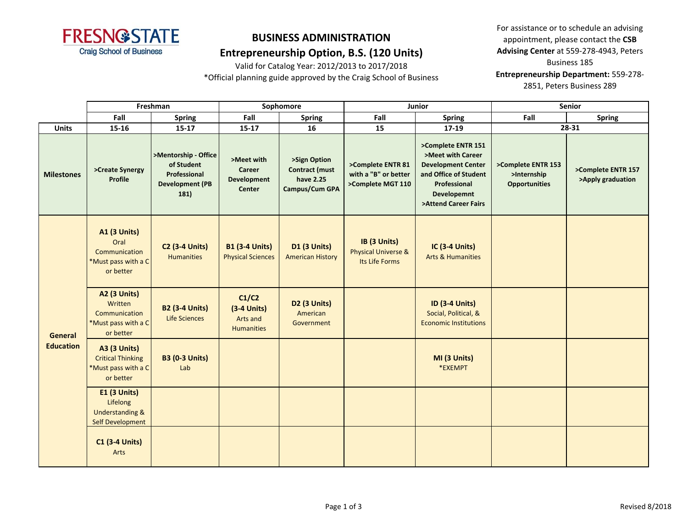

### **Entrepreneurship Option, B.S. (120 Units)**

Valid for Catalog Year: 2012/2013 to 2017/2018

\*Official planning guide approved by the Craig School of Business

|                                    | Freshman                                                                                 |                                                                                      | Sophomore                                                          |                                                                      |                                                                  | Junior                                                                                                                                               | Senior                                                    |                                         |  |
|------------------------------------|------------------------------------------------------------------------------------------|--------------------------------------------------------------------------------------|--------------------------------------------------------------------|----------------------------------------------------------------------|------------------------------------------------------------------|------------------------------------------------------------------------------------------------------------------------------------------------------|-----------------------------------------------------------|-----------------------------------------|--|
|                                    | Fall                                                                                     | <b>Spring</b>                                                                        | Fall                                                               | <b>Spring</b>                                                        | Fall                                                             | <b>Spring</b>                                                                                                                                        | Fall                                                      | <b>Spring</b>                           |  |
| <b>Units</b>                       | 15-16                                                                                    | $15 - 17$                                                                            | $15 - 17$                                                          | 16                                                                   | 15                                                               | $17 - 19$                                                                                                                                            |                                                           | 28-31                                   |  |
| <b>Milestones</b>                  | >Create Synergy<br><b>Profile</b>                                                        | >Mentorship - Office<br>of Student<br>Professional<br><b>Development (PB</b><br>181) | >Meet with<br><b>Career</b><br><b>Development</b><br><b>Center</b> | >Sign Option<br><b>Contract (must</b><br>have 2.25<br>Campus/Cum GPA | >Complete ENTR 81<br>with a "B" or better<br>>Complete MGT 110   | >Complete ENTR 151<br>>Meet with Career<br><b>Development Center</b><br>and Office of Student<br>Professional<br>Developemnt<br>>Attend Career Fairs | >Complete ENTR 153<br>>Internship<br><b>Opportunities</b> | >Complete ENTR 157<br>>Apply graduation |  |
| <b>General</b><br><b>Education</b> | <b>A1 (3 Units)</b><br>Oral<br>Communication<br>*Must pass with a C<br>or better         | <b>C2 (3-4 Units)</b><br><b>Humanities</b>                                           | <b>B1 (3-4 Units)</b><br><b>Physical Sciences</b>                  | D1 (3 Units)<br><b>American History</b>                              | IB (3 Units)<br><b>Physical Universe &amp;</b><br>Its Life Forms | <b>IC (3-4 Units)</b><br><b>Arts &amp; Humanities</b>                                                                                                |                                                           |                                         |  |
|                                    | <b>A2 (3 Units)</b><br>Written<br>Communication<br>*Must pass with a C<br>or better      | <b>B2 (3-4 Units)</b><br><b>Life Sciences</b>                                        | C1/C2<br>$(3-4$ Units)<br>Arts and<br><b>Humanities</b>            | <b>D2 (3 Units)</b><br>American<br>Government                        |                                                                  | <b>ID (3-4 Units)</b><br>Social, Political, &<br><b>Economic Institutions</b>                                                                        |                                                           |                                         |  |
|                                    | <b>A3 (3 Units)</b><br><b>Critical Thinking</b><br>*Must pass with a C<br>or better      | <b>B3 (0-3 Units)</b><br>Lab                                                         |                                                                    |                                                                      |                                                                  | MI (3 Units)<br>*EXEMPT                                                                                                                              |                                                           |                                         |  |
|                                    | <b>E1 (3 Units)</b><br>Lifelong<br><b>Understanding &amp;</b><br><b>Self Development</b> |                                                                                      |                                                                    |                                                                      |                                                                  |                                                                                                                                                      |                                                           |                                         |  |
|                                    | <b>C1 (3-4 Units)</b><br>Arts                                                            |                                                                                      |                                                                    |                                                                      |                                                                  |                                                                                                                                                      |                                                           |                                         |  |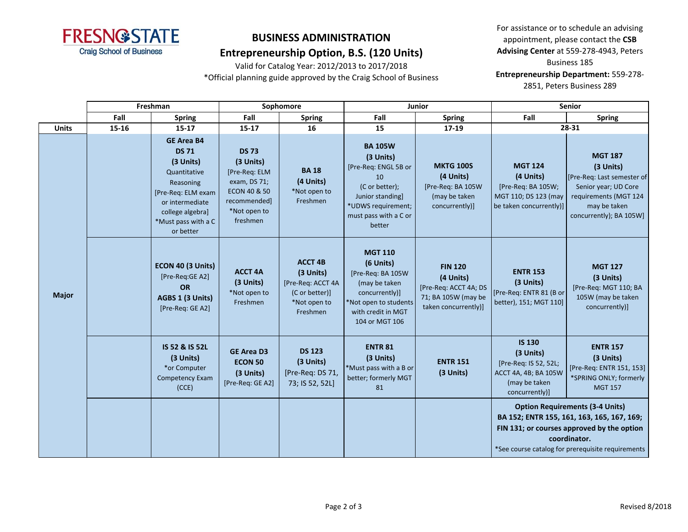

### **Entrepreneurship Option, B.S. (120 Units)**

Valid for Catalog Year: 2012/2013 to 2017/2018 \*Official planning guide approved by the Craig School of Business

|              | Freshman |                                                                                                                                                                              | Sophomore                                                                                                              |                                                                                                |                                                                                                                                                         | Junior                                                                                              | <b>Senior</b>                                                                                                  |                                                                                                                                                                                                         |  |
|--------------|----------|------------------------------------------------------------------------------------------------------------------------------------------------------------------------------|------------------------------------------------------------------------------------------------------------------------|------------------------------------------------------------------------------------------------|---------------------------------------------------------------------------------------------------------------------------------------------------------|-----------------------------------------------------------------------------------------------------|----------------------------------------------------------------------------------------------------------------|---------------------------------------------------------------------------------------------------------------------------------------------------------------------------------------------------------|--|
|              | Fall     | <b>Spring</b>                                                                                                                                                                | Fall                                                                                                                   | <b>Spring</b>                                                                                  | Fall                                                                                                                                                    | <b>Spring</b>                                                                                       | Fall                                                                                                           | <b>Spring</b>                                                                                                                                                                                           |  |
| <b>Units</b> | 15-16    | $15 - 17$                                                                                                                                                                    | $15 - 17$                                                                                                              | 16                                                                                             | 15                                                                                                                                                      | 17-19                                                                                               |                                                                                                                | 28-31                                                                                                                                                                                                   |  |
| <b>Major</b> |          | <b>GE Area B4</b><br><b>DS 71</b><br>(3 Units)<br>Quantitative<br>Reasoning<br>[Pre-Req: ELM exam<br>or intermediate<br>college algebra]<br>*Must pass with a C<br>or better | <b>DS 73</b><br>(3 Units)<br>[Pre-Req: ELM<br>exam, DS 71;<br>ECON 40 & 50<br>recommended]<br>*Not open to<br>freshmen | <b>BA18</b><br>(4 Units)<br>*Not open to<br>Freshmen                                           | <b>BA 105W</b><br>(3 Units)<br>[Pre-Req: ENGL 5B or<br>10<br>(C or better);<br>Junior standing<br>*UDWS requirement;<br>must pass with a C or<br>better | <b>MKTG 100S</b><br>(4 Units)<br>[Pre-Req: BA 105W<br>(may be taken<br>concurrently)]               | <b>MGT 124</b><br>(4 Units)<br>[Pre-Req: BA 105W;<br>MGT 110; DS 123 (may<br>be taken concurrently)]           | <b>MGT 187</b><br>(3 Units)<br>[Pre-Req: Last semester of<br>Senior year; UD Core<br>requirements (MGT 124<br>may be taken<br>concurrently); BA 105W]                                                   |  |
|              |          | ECON 40 (3 Units)<br>[Pre-Req:GE A2]<br><b>OR</b><br>AGBS 1 (3 Units)<br>[Pre-Req: GE A2]                                                                                    | <b>ACCT 4A</b><br>(3 Units)<br>*Not open to<br>Freshmen                                                                | <b>ACCT 4B</b><br>(3 Units)<br>[Pre-Req: ACCT 4A<br>(C or better)]<br>*Not open to<br>Freshmen | <b>MGT 110</b><br>(6 Units)<br>[Pre-Req: BA 105W<br>(may be taken<br>concurrently)]<br>*Not open to students<br>with credit in MGT<br>104 or MGT 106    | <b>FIN 120</b><br>(4 Units)<br>[Pre-Req: ACCT 4A; DS<br>71; BA 105W (may be<br>taken concurrently)] | <b>ENTR 153</b><br>(3 Units)<br>[Pre-Req: ENTR 81 (B or<br>better), 151; MGT 110]                              | <b>MGT 127</b><br>(3 Units)<br>[Pre-Req: MGT 110; BA<br>105W (may be taken<br>concurrently)]                                                                                                            |  |
|              |          | IS 52 & IS 52L<br>(3 Units)<br>*or Computer<br>Competency Exam<br>(CCE)                                                                                                      | <b>GE Area D3</b><br><b>ECON 50</b><br>(3 Units)<br>[Pre-Req: GE A2]                                                   | <b>DS 123</b><br>(3 Units)<br>[Pre-Req: DS 71,<br>73; IS 52, 52L]                              | <b>ENTR 81</b><br>(3 Units)<br>*Must pass with a B or<br>better; formerly MGT<br>81                                                                     | <b>ENTR 151</b><br>(3 Units)                                                                        | <b>IS 130</b><br>(3 Units)<br>[Pre-Req: IS 52, 52L;<br>ACCT 4A, 4B; BA 105W<br>(may be taken<br>concurrently)] | <b>ENTR 157</b><br>(3 Units)<br>[Pre-Req: ENTR 151, 153]<br>*SPRING ONLY; formerly<br><b>MGT 157</b>                                                                                                    |  |
|              |          |                                                                                                                                                                              |                                                                                                                        |                                                                                                |                                                                                                                                                         |                                                                                                     |                                                                                                                | <b>Option Requirements (3-4 Units)</b><br>BA 152; ENTR 155, 161, 163, 165, 167, 169;<br>FIN 131; or courses approved by the option<br>coordinator.<br>*See course catalog for prerequisite requirements |  |